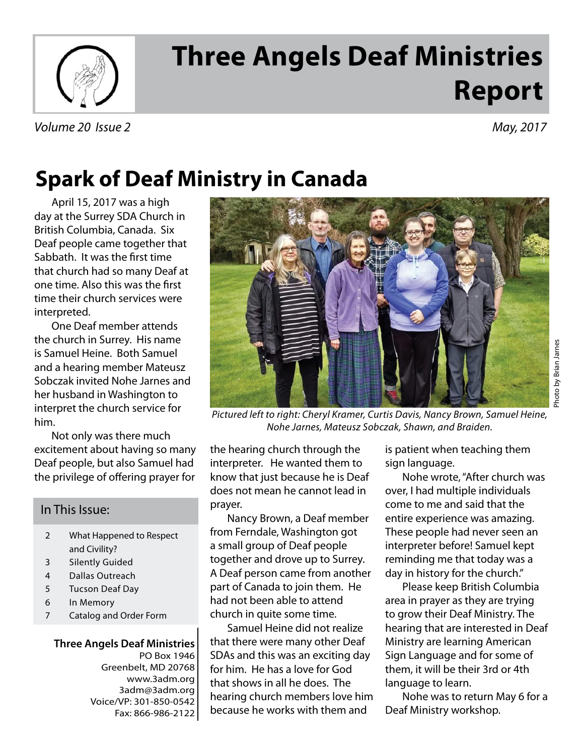

# **Three Angels Deaf Ministries Report**

## **Spark of Deaf Ministry in Canada**

April 15, 2017 was a high day at the Surrey SDA Church in British Columbia, Canada. Six Deaf people came together that Sabbath. It was the first time that church had so many Deaf at one time. Also this was the first time their church services were interpreted.

One Deaf member attends the church in Surrey. His name is Samuel Heine. Both Samuel and a hearing member Mateusz Sobczak invited Nohe Jarnes and her husband in Washington to interpret the church service for him.

Not only was there much excitement about having so many Deaf people, but also Samuel had the privilege of offering prayer for

#### In This Issue:

- 2 What Happened to Respect and Civility?
- 3 Silently Guided
- 4 Dallas Outreach
- 5 Tucson Deaf Day
- 6 In Memory
- 7 Catalog and Order Form

**Three Angels Deaf Ministries** PO Box 1946 Greenbelt, MD 20768 www.3adm.org 3adm@3adm.org Voice/VP: 301-850-0542 Fax: 866-986-2122



Pictured left to right: Cheryl Kramer, Curtis Davis, Nancy Brown, Samuel Heine, Nohe Jarnes, Mateusz Sobczak, Shawn, and Braiden.

the hearing church through the interpreter. He wanted them to know that just because he is Deaf does not mean he cannot lead in prayer.

Nancy Brown, a Deaf member from Ferndale, Washington got a small group of Deaf people together and drove up to Surrey. A Deaf person came from another part of Canada to join them. He had not been able to attend church in quite some time.

Samuel Heine did not realize that there were many other Deaf SDAs and this was an exciting day for him. He has a love for God that shows in all he does. The hearing church members love him because he works with them and

is patient when teaching them sign language.

Nohe wrote, "After church was over, I had multiple individuals come to me and said that the entire experience was amazing. These people had never seen an interpreter before! Samuel kept reminding me that today was a day in history for the church."

Please keep British Columbia area in prayer as they are trying to grow their Deaf Ministry. The hearing that are interested in Deaf Ministry are learning American Sign Language and for some of them, it will be their 3rd or 4th language to learn.

Nohe was to return May 6 for a Deaf Ministry workshop.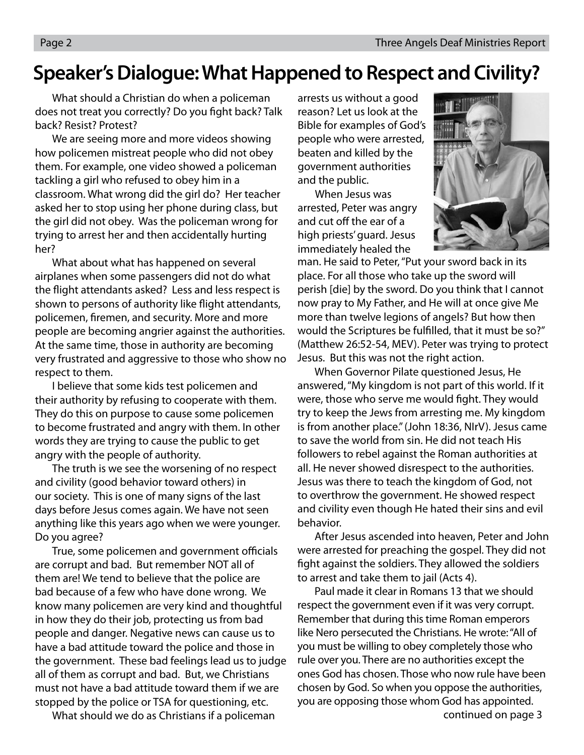### **Speaker's Dialogue: What Happened to Respect and Civility?**

 What should a Christian do when a policeman does not treat you correctly? Do you fight back? Talk back? Resist? Protest?

 We are seeing more and more videos showing how policemen mistreat people who did not obey them. For example, one video showed a policeman tackling a girl who refused to obey him in a classroom. What wrong did the girl do? Her teacher asked her to stop using her phone during class, but the girl did not obey. Was the policeman wrong for trying to arrest her and then accidentally hurting her?

 What about what has happened on several airplanes when some passengers did not do what the flight attendants asked? Less and less respect is shown to persons of authority like flight attendants, policemen, firemen, and security. More and more people are becoming angrier against the authorities. At the same time, those in authority are becoming very frustrated and aggressive to those who show no respect to them.

 I believe that some kids test policemen and their authority by refusing to cooperate with them. They do this on purpose to cause some policemen to become frustrated and angry with them. In other words they are trying to cause the public to get angry with the people of authority.

 The truth is we see the worsening of no respect and civility (good behavior toward others) in our society. This is one of many signs of the last days before Jesus comes again. We have not seen anything like this years ago when we were younger. Do you agree?

True, some policemen and government officials are corrupt and bad. But remember NOT all of them are! We tend to believe that the police are bad because of a few who have done wrong. We know many policemen are very kind and thoughtful in how they do their job, protecting us from bad people and danger. Negative news can cause us to have a bad attitude toward the police and those in the government. These bad feelings lead us to judge all of them as corrupt and bad. But, we Christians must not have a bad attitude toward them if we are stopped by the police or TSA for questioning, etc.

What should we do as Christians if a policeman

arrests us without a good reason? Let us look at the Bible for examples of God's people who were arrested, beaten and killed by the government authorities and the public.

 When Jesus was arrested, Peter was angry and cut off the ear of a high priests' guard. Jesus immediately healed the



man. He said to Peter, "Put your sword back in its place. For all those who take up the sword will perish [die] by the sword. Do you think that I cannot now pray to My Father, and He will at once give Me more than twelve legions of angels? But how then would the Scriptures be fulfilled, that it must be so?" (Matthew 26:52-54, MEV). Peter was trying to protect Jesus. But this was not the right action.

 When Governor Pilate questioned Jesus, He answered, "My kingdom is not part of this world. If it were, those who serve me would fight. They would try to keep the Jews from arresting me. My kingdom is from another place." (John 18:36, NIrV). Jesus came to save the world from sin. He did not teach His followers to rebel against the Roman authorities at all. He never showed disrespect to the authorities. Jesus was there to teach the kingdom of God, not to overthrow the government. He showed respect and civility even though He hated their sins and evil behavior.

 After Jesus ascended into heaven, Peter and John were arrested for preaching the gospel. They did not fight against the soldiers. They allowed the soldiers to arrest and take them to jail (Acts 4).

 Paul made it clear in Romans 13 that we should respect the government even if it was very corrupt. Remember that during this time Roman emperors like Nero persecuted the Christians. He wrote: "All of you must be willing to obey completely those who rule over you. There are no authorities except the ones God has chosen. Those who now rule have been chosen by God. So when you oppose the authorities, you are opposing those whom God has appointed.

continued on page 3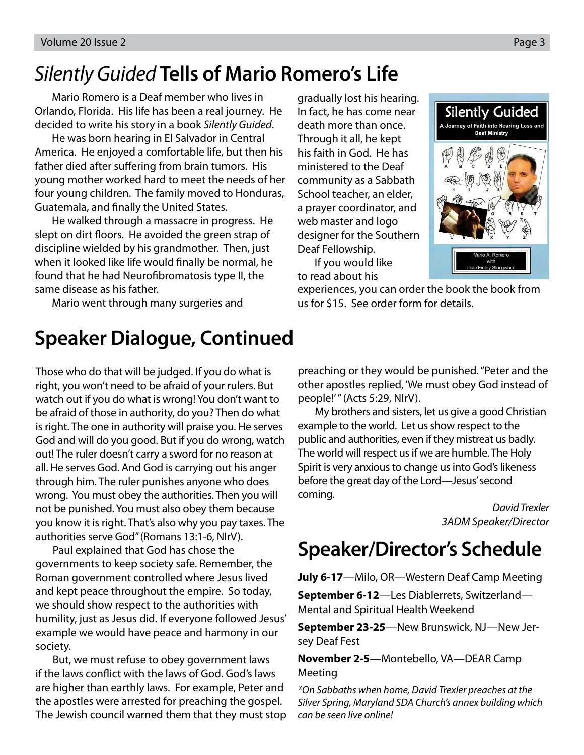## Silently Guided **Tells of Mario Romero's Life**

Mario Romero is a Deaf member who lives in Orlando, Florida. His life has been a real journey. He decided to write his story in a book Silently Guided.

He was born hearing in El Salvador in Central America. He enjoyed a comfortable life, but then his father died after suffering from brain tumors. His young mother worked hard to meet the needs of her four young children. The family moved to Honduras, Guatemala, and finally the United States.

He walked through a massacre in progress. He slept on dirt floors. He avoided the green strap of discipline wielded by his grandmother. Then, just when it looked like life would finally be normal, he found that he had Neurofibromatosis type II, the same disease as his father.

Mario went through many surgeries and

gradually lost his hearing. In fact, he has come near death more than once. Through it all, he kept his faith in God. He has ministered to the Deaf community as a Sabbath School teacher, an elder, a prayer coordinator, and web master and logo designer for the Southern Deaf Fellowship.

If you would like to read about his



experiences, you can order the book the book from us for \$15. See order form for details.

### **Speaker Dialogue, Continued**

Those who do that will be judged. If you do what is right, you won't need to be afraid of your rulers. But watch out if you do what is wrong! You don't want to be afraid of those in authority, do you? Then do what is right. The one in authority will praise you. He serves God and will do you good. But if you do wrong, watch out! The ruler doesn't carry a sword for no reason at all. He serves God. And God is carrying out his anger through him. The ruler punishes anyone who does wrong. You must obey the authorities. Then you will not be punished. You must also obey them because you know it is right. That's also why you pay taxes. The authorities serve God" (Romans 13:1-6, NIrV).

 Paul explained that God has chose the governments to keep society safe. Remember, the Roman government controlled where Jesus lived and kept peace throughout the empire. So today, we should show respect to the authorities with humility, just as Jesus did. If everyone followed Jesus' example we would have peace and harmony in our society.

 But, we must refuse to obey government laws if the laws conflict with the laws of God. God's laws are higher than earthly laws. For example, Peter and the apostles were arrested for preaching the gospel. The Jewish council warned them that they must stop preaching or they would be punished. "Peter and the other apostles replied, 'We must obey God instead of people!'" (Acts 5:29, NIrV).

 My brothers and sisters, let us give a good Christian example to the world. Let us show respect to the public and authorities, even if they mistreat us badly. The world will respect us if we are humble. The Holy Spirit is very anxious to change us into God's likeness before the great day of the Lord—Jesus' second coming.

> David Trexler 3ADM Speaker/Director

## **Speaker/Director's Schedule**

**July 6-17**—Milo, OR—Western Deaf Camp Meeting

**September 6-12**—Les Diablerrets, Switzerland— Mental and Spiritual Health Weekend

**September 23-25**—New Brunswick, NJ—New Jersey Deaf Fest

**November 2-5**—Montebello, VA—DEAR Camp Meeting

\*On Sabbaths when home, David Trexler preaches at the Silver Spring, Maryland SDA Church's annex building which can be seen live online!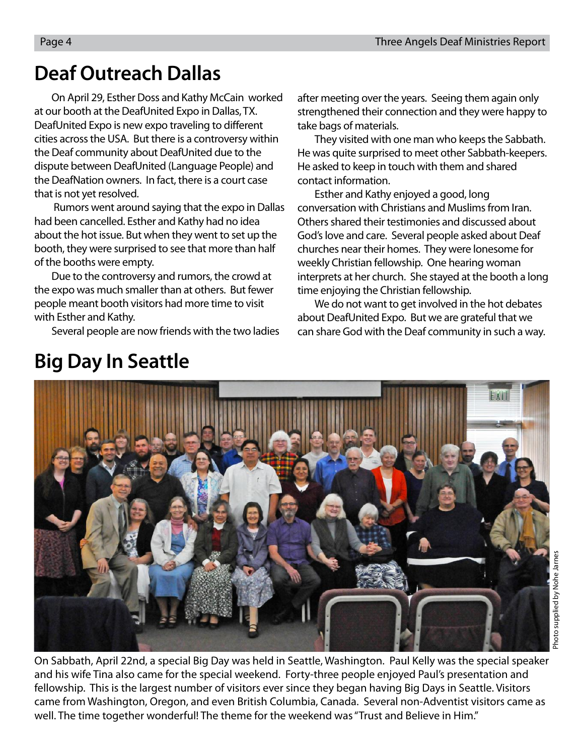## **Deaf Outreach Dallas**

On April 29, Esther Doss and Kathy McCain worked at our booth at the DeafUnited Expo in Dallas, TX. DeafUnited Expo is new expo traveling to different cities across the USA. But there is a controversy within the Deaf community about DeafUnited due to the dispute between DeafUnited (Language People) and the DeafNation owners. In fact, there is a court case that is not yet resolved.

 Rumors went around saying that the expo in Dallas had been cancelled. Esther and Kathy had no idea about the hot issue. But when they went to set up the booth, they were surprised to see that more than half of the booths were empty.

Due to the controversy and rumors, the crowd at the expo was much smaller than at others. But fewer people meant booth visitors had more time to visit with Esther and Kathy.

Several people are now friends with the two ladies

after meeting over the years. Seeing them again only strengthened their connection and they were happy to take bags of materials.

They visited with one man who keeps the Sabbath. He was quite surprised to meet other Sabbath-keepers. He asked to keep in touch with them and shared contact information.

Esther and Kathy enjoyed a good, long conversation with Christians and Muslims from Iran. Others shared their testimonies and discussed about God's love and care. Several people asked about Deaf churches near their homes. They were lonesome for weekly Christian fellowship. One hearing woman interprets at her church. She stayed at the booth a long time enjoying the Christian fellowship.

We do not want to get involved in the hot debates about DeafUnited Expo. But we are grateful that we can share God with the Deaf community in such a way.



On Sabbath, April 22nd, a special Big Day was held in Seattle, Washington. Paul Kelly was the special speaker and his wife Tina also came for the special weekend. Forty-three people enjoyed Paul's presentation and fellowship. This is the largest number of visitors ever since they began having Big Days in Seattle. Visitors came from Washington, Oregon, and even British Columbia, Canada. Several non-Adventist visitors came as well. The time together wonderful! The theme for the weekend was "Trust and Believe in Him."

## **Big Day In Seattle**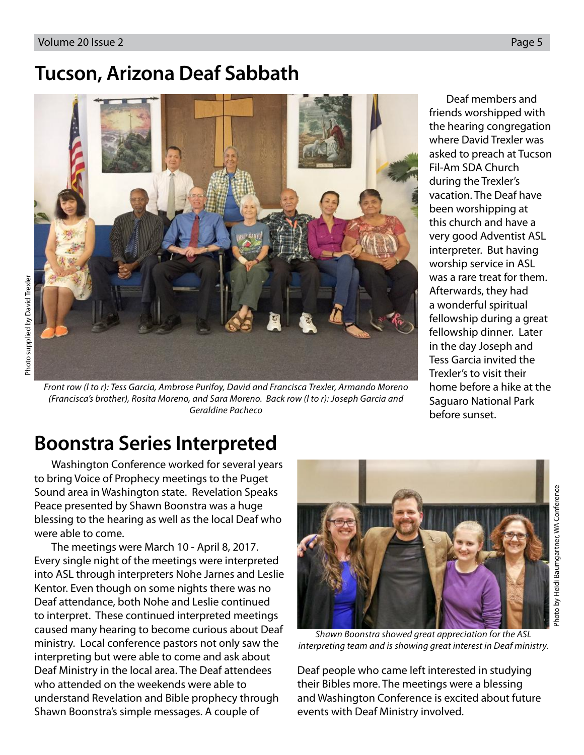### **Tucson, Arizona Deaf Sabbath**



Front row (l to r): Tess Garcia, Ambrose Purifoy, David and Francisca Trexler, Armando Moreno (Francisca's brother), Rosita Moreno, and Sara Moreno. Back row (l to r): Joseph Garcia and Geraldine Pacheco

Deaf members and friends worshipped with the hearing congregation where David Trexler was asked to preach at Tucson Fil-Am SDA Church during the Trexler's vacation. The Deaf have been worshipping at this church and have a very good Adventist ASL interpreter. But having worship service in ASL was a rare treat for them. Afterwards, they had a wonderful spiritual fellowship during a great fellowship dinner. Later in the day Joseph and Tess Garcia invited the Trexler's to visit their home before a hike at the Saguaro National Park before sunset.

## **Boonstra Series Interpreted**

Washington Conference worked for several years to bring Voice of Prophecy meetings to the Puget Sound area in Washington state. Revelation Speaks Peace presented by Shawn Boonstra was a huge blessing to the hearing as well as the local Deaf who were able to come.

The meetings were March 10 - April 8, 2017. Every single night of the meetings were interpreted into ASL through interpreters Nohe Jarnes and Leslie Kentor. Even though on some nights there was no Deaf attendance, both Nohe and Leslie continued to interpret. These continued interpreted meetings caused many hearing to become curious about Deaf ministry. Local conference pastors not only saw the interpreting but were able to come and ask about Deaf Ministry in the local area. The Deaf attendees who attended on the weekends were able to understand Revelation and Bible prophecy through Shawn Boonstra's simple messages. A couple of



Shawn Boonstra showed great appreciation for the ASL interpreting team and is showing great interest in Deaf ministry.

Deaf people who came left interested in studying their Bibles more. The meetings were a blessing and Washington Conference is excited about future events with Deaf Ministry involved.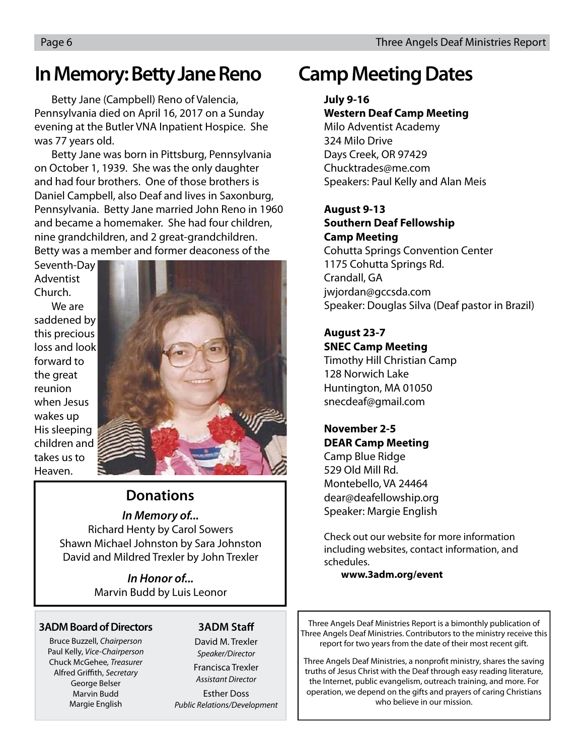### **In Memory: Betty Jane Reno**

Betty Jane (Campbell) Reno of Valencia, Pennsylvania died on April 16, 2017 on a Sunday evening at the Butler VNA Inpatient Hospice. She was 77 years old.

Betty Jane was born in Pittsburg, Pennsylvania on October 1, 1939. She was the only daughter and had four brothers. One of those brothers is Daniel Campbell, also Deaf and lives in Saxonburg, Pennsylvania. Betty Jane married John Reno in 1960 and became a homemaker. She had four children, nine grandchildren, and 2 great-grandchildren. Betty was a member and former deaconess of the

Seventh-Day Adventist Church.

We are saddened by this precious loss and look forward to the great reunion when Jesus wakes up His sleeping children and takes us to Heaven.



#### **Donations**

**In Memory of...**

Richard Henty by Carol Sowers Shawn Michael Johnston by Sara Johnston David and Mildred Trexler by John Trexler

> **In Honor of...** Marvin Budd by Luis Leonor

#### **3ADM Board of Directors**

Bruce Buzzell, Chairperson Paul Kelly, Vice-Chairperson Chuck McGehee, Treasurer Alfred Griffith, Secretary George Belser Marvin Budd Margie English

#### **3ADM Staff**

David M. Trexler Speaker/Director

Francisca Trexler Assistant Director

Esther Doss Public Relations/Development

## **Camp Meeting Dates**

#### **July 9-16**

#### **Western Deaf Camp Meeting**

Milo Adventist Academy 324 Milo Drive Days Creek, OR 97429 Chucktrades@me.com Speakers: Paul Kelly and Alan Meis

#### **August 9-13 Southern Deaf Fellowship**

**Camp Meeting** Cohutta Springs Convention Center 1175 Cohutta Springs Rd.

Crandall, GA jwjordan@gccsda.com Speaker: Douglas Silva (Deaf pastor in Brazil)

#### **August 23-7**

**SNEC Camp Meeting** Timothy Hill Christian Camp 128 Norwich Lake Huntington, MA 01050 snecdeaf@gmail.com

#### **November 2-5 DEAR Camp Meeting**

Camp Blue Ridge 529 Old Mill Rd. Montebello, VA 24464 dear@deafellowship.org Speaker: Margie English

Check out our website for more information including websites, contact information, and schedules.

#### **www.3adm.org/event**

Three Angels Deaf Ministries Report is a bimonthly publication of Three Angels Deaf Ministries. Contributors to the ministry receive this report for two years from the date of their most recent gift.

Three Angels Deaf Ministries, a nonprofit ministry, shares the saving truths of Jesus Christ with the Deaf through easy reading literature, the Internet, public evangelism, outreach training, and more. For operation, we depend on the gifts and prayers of caring Christians who believe in our mission.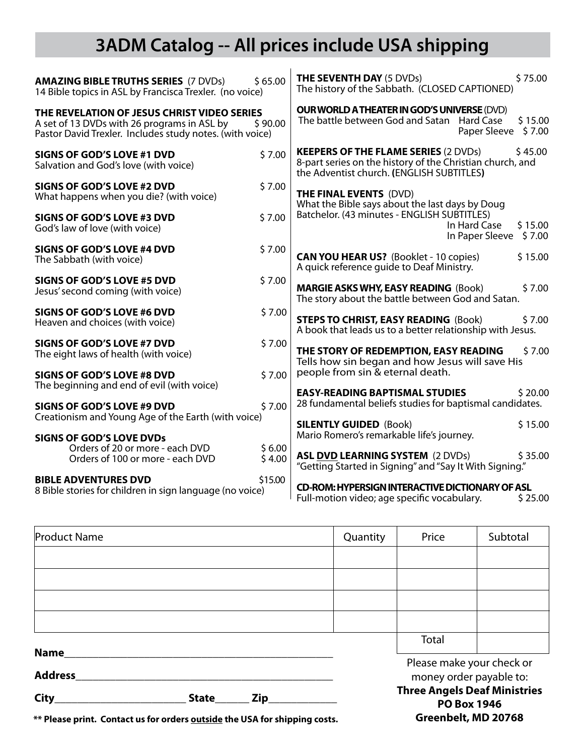## **3ADM Catalog -- All prices include USA shipping**

| \$65.00<br><b>AMAZING BIBLE TRUTHS SERIES (7 DVDs)</b><br>14 Bible topics in ASL by Francisca Trexler. (no voice)                                                 |         | \$75.00<br><b>THE SEVENTH DAY (5 DVDs)</b><br>The history of the Sabbath. (CLOSED CAPTIONED)                                                                     |  |  |  |
|-------------------------------------------------------------------------------------------------------------------------------------------------------------------|---------|------------------------------------------------------------------------------------------------------------------------------------------------------------------|--|--|--|
| THE REVELATION OF JESUS CHRIST VIDEO SERIES<br>A set of 13 DVDs with 26 programs in ASL by<br>\$90.00<br>Pastor David Trexler. Includes study notes. (with voice) |         | <b>OUR WORLD A THEATER IN GOD'S UNIVERSE (DVD)</b><br>The battle between God and Satan<br><b>Hard Case</b><br>\$15.00<br>Paper Sleeve<br>\$7.00                  |  |  |  |
| <b>SIGNS OF GOD'S LOVE #1 DVD</b><br>Salvation and God's love (with voice)                                                                                        | \$7.00  | <b>KEEPERS OF THE FLAME SERIES (2 DVDs)</b><br>\$45.00<br>8-part series on the history of the Christian church, and<br>the Adventist church. (ENGLISH SUBTITLES) |  |  |  |
| SIGNS OF GOD'S LOVE #2 DVD<br>What happens when you die? (with voice)                                                                                             | \$7.00  | <b>THE FINAL EVENTS (DVD)</b><br>What the Bible says about the last days by Doug                                                                                 |  |  |  |
| <b>SIGNS OF GOD'S LOVE #3 DVD</b><br>God's law of love (with voice)                                                                                               | \$7.00  | Batchelor. (43 minutes - ENGLISH SUBTITLES)<br>In Hard Case<br>\$15.00<br>In Paper Sleeve<br>\$7.00                                                              |  |  |  |
| <b>SIGNS OF GOD'S LOVE #4 DVD</b><br>The Sabbath (with voice)                                                                                                     | \$7.00  | <b>CAN YOU HEAR US?</b> (Booklet - 10 copies)<br>\$15.00<br>A quick reference guide to Deaf Ministry.                                                            |  |  |  |
| <b>SIGNS OF GOD'S LOVE #5 DVD</b><br>Jesus' second coming (with voice)                                                                                            | \$7.00  | <b>MARGIE ASKS WHY, EASY READING (Book)</b><br>\$7.00<br>The story about the battle between God and Satan.                                                       |  |  |  |
| <b>SIGNS OF GOD'S LOVE #6 DVD</b><br>Heaven and choices (with voice)                                                                                              | \$7.00  | <b>STEPS TO CHRIST, EASY READING (Book)</b><br>\$7.00<br>A book that leads us to a better relationship with Jesus.                                               |  |  |  |
| <b>SIGNS OF GOD'S LOVE #7 DVD</b><br>The eight laws of health (with voice)                                                                                        | \$7.00  | THE STORY OF REDEMPTION, EASY READING<br>\$7.00<br>Tells how sin began and how Jesus will save His                                                               |  |  |  |
| <b>SIGNS OF GOD'S LOVE #8 DVD</b><br>The beginning and end of evil (with voice)                                                                                   | \$7.00  | people from sin & eternal death.<br><b>EASY-READING BAPTISMAL STUDIES</b><br>\$20.00                                                                             |  |  |  |
| <b>SIGNS OF GOD'S LOVE #9 DVD</b><br>Creationism and Young Age of the Earth (with voice)                                                                          | \$7.00  | 28 fundamental beliefs studies for baptismal candidates.<br><b>SILENTLY GUIDED (Book)</b><br>\$15.00                                                             |  |  |  |
| <b>SIGNS OF GOD'S LOVE DVDs</b><br>Orders of 20 or more - each DVD                                                                                                | \$6.00  | Mario Romero's remarkable life's journey.                                                                                                                        |  |  |  |
| Orders of 100 or more - each DVD                                                                                                                                  | \$4.00  | <b>ASL DVD LEARNING SYSTEM (2 DVDs)</b><br>\$35.00<br>"Getting Started in Signing" and "Say It With Signing."                                                    |  |  |  |
| <b>BIBLE ADVENTURES DVD</b><br>8 Bible stories for children in sign language (no voice)                                                                           | \$15.00 | <b>CD-ROM: HYPERSIGN INTERACTIVE DICTIONARY OF ASL</b><br>Full-motion video; age specific vocabulary.<br>\$25.00                                                 |  |  |  |

| <b>Product Name</b>         |  |                                                           | Quantity                                             | Price | Subtotal |
|-----------------------------|--|-----------------------------------------------------------|------------------------------------------------------|-------|----------|
|                             |  |                                                           |                                                      |       |          |
|                             |  |                                                           |                                                      |       |          |
|                             |  |                                                           |                                                      |       |          |
|                             |  |                                                           |                                                      |       |          |
|                             |  |                                                           |                                                      | Total |          |
| Name_<br><b>Address</b>     |  |                                                           | Please make your check or<br>money order payable to: |       |          |
| City<br>Zip<br><b>State</b> |  | <b>Three Angels Deaf Ministries</b><br><b>PO Box 1946</b> |                                                      |       |          |

**Greenbelt, MD 20768**

**\*\* Please print. Contact us for orders outside the USA for shipping costs.**